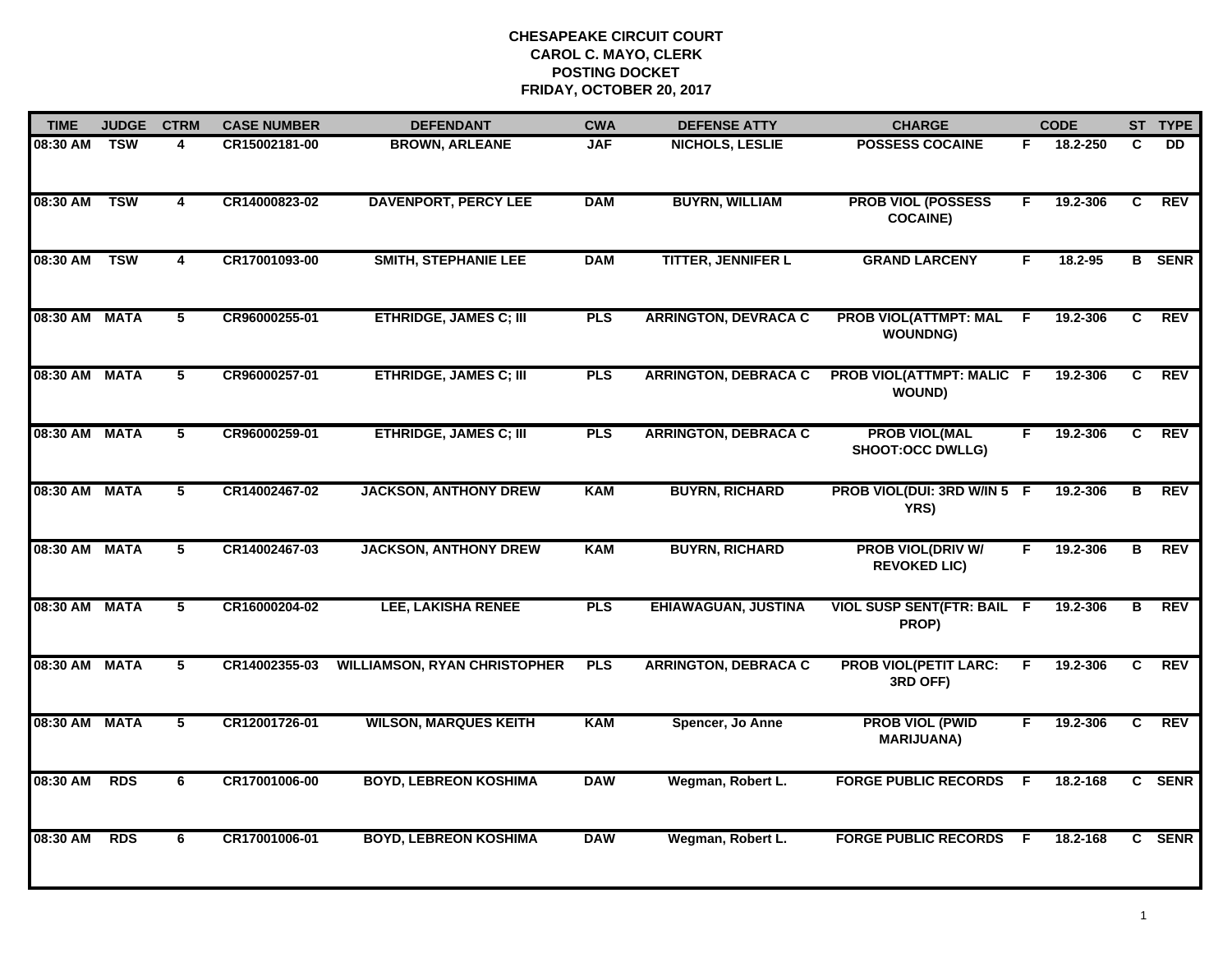| <b>TIME</b>   | <b>JUDGE</b> | <b>CTRM</b>             | <b>CASE NUMBER</b> | <b>DEFENDANT</b>                    | <b>CWA</b> | <b>DEFENSE ATTY</b>         | <b>CHARGE</b>                                   |     | <b>CODE</b> |   | ST TYPE       |
|---------------|--------------|-------------------------|--------------------|-------------------------------------|------------|-----------------------------|-------------------------------------------------|-----|-------------|---|---------------|
| 08:30 AM      | <b>TSW</b>   | 4                       | CR15002181-00      | <b>BROWN, ARLEANE</b>               | <b>JAF</b> | <b>NICHOLS, LESLIE</b>      | <b>POSSESS COCAINE</b>                          | F.  | 18.2-250    | C | DD.           |
| 08:30 AM      | <b>TSW</b>   | 4                       | CR14000823-02      | <b>DAVENPORT, PERCY LEE</b>         | <b>DAM</b> | <b>BUYRN, WILLIAM</b>       | <b>PROB VIOL (POSSESS</b><br><b>COCAINE)</b>    | F.  | 19.2-306    | C | REV           |
| 08:30 AM      | <b>TSW</b>   | 4                       | CR17001093-00      | <b>SMITH, STEPHANIE LEE</b>         | <b>DAM</b> | <b>TITTER, JENNIFER L</b>   | <b>GRAND LARCENY</b>                            | F   | 18.2-95     |   | <b>B</b> SENR |
| 08:30 AM MATA |              | 5                       | CR96000255-01      | <b>ETHRIDGE, JAMES C; III</b>       | <b>PLS</b> | <b>ARRINGTON, DEVRACA C</b> | <b>PROB VIOL(ATTMPT: MAL</b><br><b>WOUNDNG)</b> | - F | 19.2-306    | C | <b>REV</b>    |
| 08:30 AM MATA |              | 5                       | CR96000257-01      | <b>ETHRIDGE, JAMES C; III</b>       | <b>PLS</b> | <b>ARRINGTON, DEBRACA C</b> | PROB VIOL(ATTMPT: MALIC F<br><b>WOUND)</b>      |     | 19.2-306    | C | <b>REV</b>    |
| 08:30 AM MATA |              | 5                       | CR96000259-01      | <b>ETHRIDGE, JAMES C; III</b>       | <b>PLS</b> | <b>ARRINGTON, DEBRACA C</b> | <b>PROB VIOL(MAL</b><br><b>SHOOT:OCC DWLLG)</b> | F.  | 19.2-306    | C | <b>REV</b>    |
| 08:30 AM MATA |              | $\overline{\mathbf{5}}$ | CR14002467-02      | <b>JACKSON, ANTHONY DREW</b>        | <b>KAM</b> | <b>BUYRN, RICHARD</b>       | PROB VIOL(DUI: 3RD W/IN 5 F<br>YRS)             |     | 19.2-306    | В | <b>REV</b>    |
| 08:30 AM MATA |              | 5                       | CR14002467-03      | <b>JACKSON, ANTHONY DREW</b>        | <b>KAM</b> | <b>BUYRN, RICHARD</b>       | <b>PROB VIOL(DRIV W/</b><br><b>REVOKED LIC)</b> | F.  | 19.2-306    | в | <b>REV</b>    |
| 08:30 AM MATA |              | 5                       | CR16000204-02      | <b>LEE, LAKISHA RENEE</b>           | <b>PLS</b> | <b>EHIAWAGUAN, JUSTINA</b>  | <b>VIOL SUSP SENT(FTR: BAIL F</b><br>PROP)      |     | 19.2-306    | в | <b>REV</b>    |
| 08:30 AM MATA |              | 5                       | CR14002355-03      | <b>WILLIAMSON, RYAN CHRISTOPHER</b> | <b>PLS</b> | <b>ARRINGTON, DEBRACA C</b> | <b>PROB VIOL(PETIT LARC:</b><br>3RD OFF)        | F.  | 19.2-306    | C | <b>REV</b>    |
| 08:30 AM MATA |              | 5                       | CR12001726-01      | <b>WILSON, MARQUES KEITH</b>        | <b>KAM</b> | Spencer, Jo Anne            | <b>PROB VIOL (PWID</b><br><b>MARIJUANA)</b>     | F.  | 19.2-306    | C | <b>REV</b>    |
| 08:30 AM      | <b>RDS</b>   | 6                       | CR17001006-00      | <b>BOYD, LEBREON KOSHIMA</b>        | <b>DAW</b> | Wegman, Robert L.           | <b>FORGE PUBLIC RECORDS</b>                     | F.  | 18.2-168    |   | C SENR        |
| 08:30 AM      | <b>RDS</b>   | 6                       | CR17001006-01      | <b>BOYD, LEBREON KOSHIMA</b>        | <b>DAW</b> | Wegman, Robert L.           | <b>FORGE PUBLIC RECORDS</b>                     | -F  | 18.2-168    |   | C SENR        |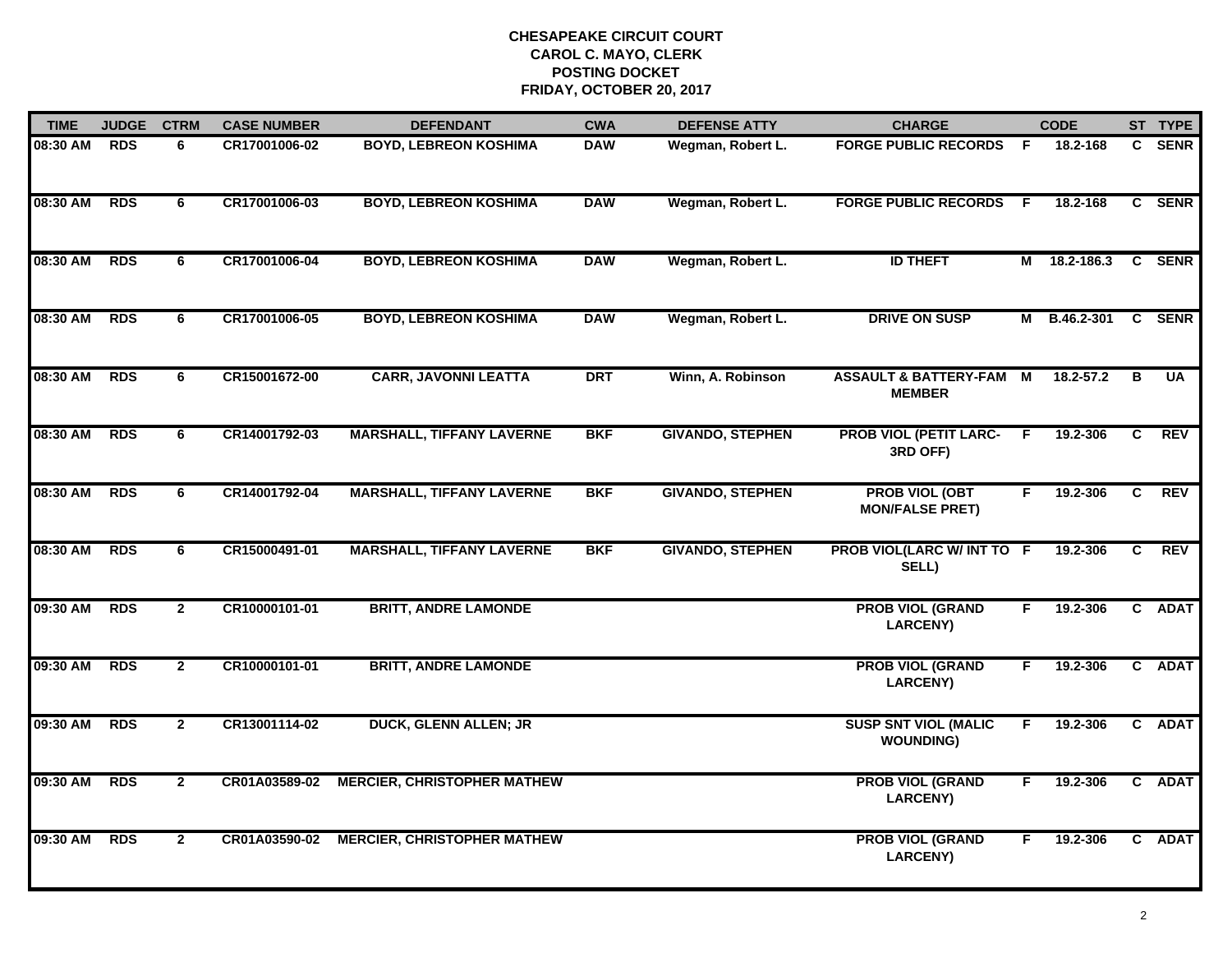| <b>TIME</b> | <b>JUDGE</b> | <b>CTRM</b>    | <b>CASE NUMBER</b> | <b>DEFENDANT</b>                   | <b>CWA</b> | <b>DEFENSE ATTY</b>     | <b>CHARGE</b>                                     |     | <b>CODE</b>       |              | ST TYPE     |
|-------------|--------------|----------------|--------------------|------------------------------------|------------|-------------------------|---------------------------------------------------|-----|-------------------|--------------|-------------|
| 08:30 AM    | <b>RDS</b>   | 6              | CR17001006-02      | <b>BOYD, LEBREON KOSHIMA</b>       | <b>DAW</b> | Wegman, Robert L.       | <b>FORGE PUBLIC RECORDS</b>                       | - F | 18.2-168          | $\mathbf{c}$ | <b>SENR</b> |
| 08:30 AM    | <b>RDS</b>   | 6              | CR17001006-03      | <b>BOYD, LEBREON KOSHIMA</b>       | <b>DAW</b> | Wegman, Robert L.       | <b>FORGE PUBLIC RECORDS</b>                       | - F | 18.2-168          |              | C SENR      |
| 08:30 AM    | <b>RDS</b>   | 6              | CR17001006-04      | <b>BOYD, LEBREON KOSHIMA</b>       | <b>DAW</b> | Wegman, Robert L.       | <b>ID THEFT</b>                                   | М   | 18.2-186.3        |              | C SENR      |
| 08:30 AM    | <b>RDS</b>   | 6              | CR17001006-05      | <b>BOYD, LEBREON KOSHIMA</b>       | <b>DAW</b> | Wegman, Robert L.       | <b>DRIVE ON SUSP</b>                              | M   | <b>B.46.2-301</b> | $\mathbf{C}$ | <b>SENR</b> |
| 08:30 AM    | <b>RDS</b>   | 6              | CR15001672-00      | <b>CARR, JAVONNI LEATTA</b>        | <b>DRT</b> | Winn, A. Robinson       | <b>ASSAULT &amp; BATTERY-FAM</b><br><b>MEMBER</b> | M   | 18.2-57.2         | B            | <b>UA</b>   |
| 08:30 AM    | <b>RDS</b>   | 6              | CR14001792-03      | <b>MARSHALL, TIFFANY LAVERNE</b>   | <b>BKF</b> | <b>GIVANDO, STEPHEN</b> | <b>PROB VIOL (PETIT LARC-</b><br>3RD OFF)         | F.  | 19.2-306          | C.           | REV         |
| 08:30 AM    | <b>RDS</b>   | $\overline{6}$ | CR14001792-04      | <b>MARSHALL, TIFFANY LAVERNE</b>   | <b>BKF</b> | <b>GIVANDO, STEPHEN</b> | <b>PROB VIOL (OBT</b><br><b>MON/FALSE PRET)</b>   | F.  | 19.2-306          | C            | <b>REV</b>  |
| 08:30 AM    | <b>RDS</b>   | 6              | CR15000491-01      | <b>MARSHALL, TIFFANY LAVERNE</b>   | <b>BKF</b> | <b>GIVANDO, STEPHEN</b> | PROB VIOL(LARC W/ INT TO F<br>SELL)               |     | 19.2-306          | C            | <b>REV</b>  |
| 09:30 AM    | <b>RDS</b>   | $\overline{2}$ | CR10000101-01      | <b>BRITT, ANDRE LAMONDE</b>        |            |                         | <b>PROB VIOL (GRAND</b><br><b>LARCENY)</b>        | F   | 19.2-306          |              | C ADAT      |
| 09:30 AM    | <b>RDS</b>   | $\overline{2}$ | CR10000101-01      | <b>BRITT, ANDRE LAMONDE</b>        |            |                         | <b>PROB VIOL (GRAND</b><br><b>LARCENY)</b>        | F   | 19.2-306          |              | C ADAT      |
| 09:30 AM    | <b>RDS</b>   | $\overline{2}$ | CR13001114-02      | <b>DUCK, GLENN ALLEN; JR</b>       |            |                         | <b>SUSP SNT VIOL (MALIC</b><br><b>WOUNDING)</b>   | F.  | 19.2-306          |              | C ADAT      |
| 09:30 AM    | <b>RDS</b>   | $\overline{2}$ | CR01A03589-02      | <b>MERCIER, CHRISTOPHER MATHEW</b> |            |                         | <b>PROB VIOL (GRAND</b><br><b>LARCENY)</b>        | F.  | 19.2-306          |              | C ADAT      |
| 09:30 AM    | <b>RDS</b>   | $\mathbf{2}$   | CR01A03590-02      | <b>MERCIER, CHRISTOPHER MATHEW</b> |            |                         | <b>PROB VIOL (GRAND</b><br><b>LARCENY)</b>        | F.  | 19.2-306          | C.           | <b>ADAT</b> |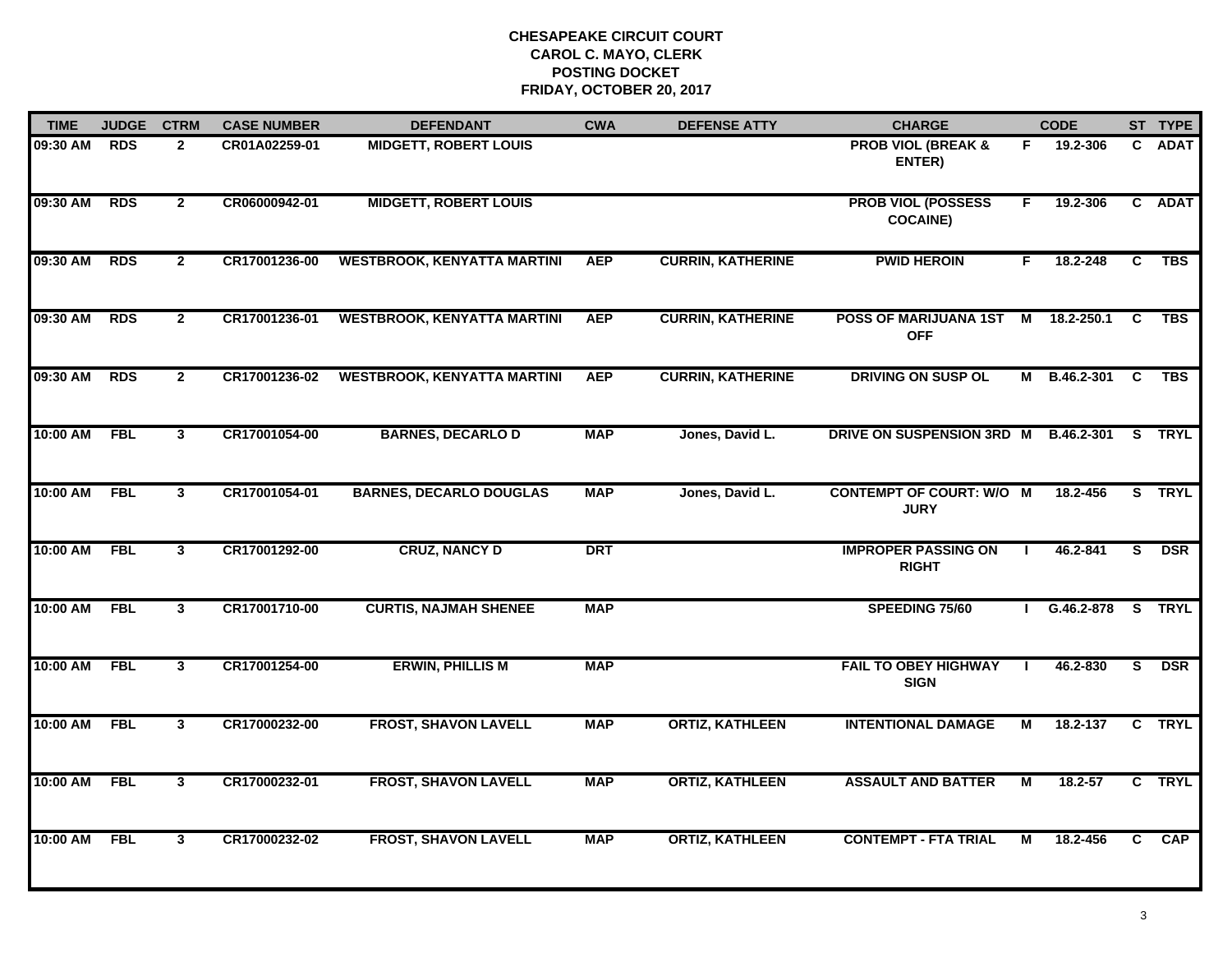| <b>TIME</b> | <b>JUDGE</b> | <b>CTRM</b>             | <b>CASE NUMBER</b> | <b>DEFENDANT</b>                   | <b>CWA</b> | <b>DEFENSE ATTY</b>      | <b>CHARGE</b>                                  |                         | <b>CODE</b>  |                         | ST TYPE     |
|-------------|--------------|-------------------------|--------------------|------------------------------------|------------|--------------------------|------------------------------------------------|-------------------------|--------------|-------------------------|-------------|
| 09:30 AM    | <b>RDS</b>   | $\overline{2}$          | CR01A02259-01      | <b>MIDGETT, ROBERT LOUIS</b>       |            |                          | <b>PROB VIOL (BREAK &amp;</b><br>ENTER)        | F.                      | 19.2-306     | $\mathbf{c}$            | <b>ADAT</b> |
| 09:30 AM    | <b>RDS</b>   | $\overline{2}$          | CR06000942-01      | <b>MIDGETT, ROBERT LOUIS</b>       |            |                          | <b>PROB VIOL (POSSESS</b><br><b>COCAINE)</b>   | F.                      | 19.2-306     |                         | C ADAT      |
| 09:30 AM    | <b>RDS</b>   | $\mathbf{2}$            | CR17001236-00      | <b>WESTBROOK, KENYATTA MARTINI</b> | <b>AEP</b> | <b>CURRIN, KATHERINE</b> | <b>PWID HEROIN</b>                             | F                       | 18.2-248     | C                       | <b>TBS</b>  |
| 09:30 AM    | <b>RDS</b>   | $\mathbf{2}$            | CR17001236-01      | <b>WESTBROOK, KENYATTA MARTINI</b> | <b>AEP</b> | <b>CURRIN, KATHERINE</b> | POSS OF MARIJUANA 1ST<br><b>OFF</b>            | M                       | 18.2-250.1   | <b>C</b>                | <b>TBS</b>  |
| 09:30 AM    | <b>RDS</b>   | $\overline{2}$          | CR17001236-02      | <b>WESTBROOK, KENYATTA MARTINI</b> | <b>AEP</b> | <b>CURRIN, KATHERINE</b> | DRIVING ON SUSP OL                             |                         | M B.46.2-301 | <b>C</b>                | <b>TBS</b>  |
| 10:00 AM    | <b>FBL</b>   | $\mathbf{3}$            | CR17001054-00      | <b>BARNES, DECARLO D</b>           | <b>MAP</b> | Jones, David L.          | DRIVE ON SUSPENSION 3RD M B.46.2-301 S TRYL    |                         |              |                         |             |
| 10:00 AM    | <b>FBL</b>   | $\overline{\mathbf{3}}$ | CR17001054-01      | <b>BARNES, DECARLO DOUGLAS</b>     | <b>MAP</b> | Jones, David L.          | <b>CONTEMPT OF COURT: W/O M</b><br><b>JURY</b> |                         | 18.2-456     | s                       | <b>TRYL</b> |
| 10:00 AM    | <b>FBL</b>   | $\overline{\mathbf{3}}$ | CR17001292-00      | <b>CRUZ, NANCY D</b>               | <b>DRT</b> |                          | <b>IMPROPER PASSING ON</b><br><b>RIGHT</b>     | $\mathbf{I}$            | 46.2-841     | $\overline{s}$          | <b>DSR</b>  |
| 10:00 AM    | <b>FBL</b>   | $\mathbf{3}$            | CR17001710-00      | <b>CURTIS, NAJMAH SHENEE</b>       | <b>MAP</b> |                          | SPEEDING 75/60                                 |                         | G.46.2-878   |                         | S TRYL      |
| 10:00 AM    | <b>FBL</b>   | $\overline{\mathbf{3}}$ | CR17001254-00      | <b>ERWIN, PHILLIS M</b>            | <b>MAP</b> |                          | <b>FAIL TO OBEY HIGHWAY</b><br><b>SIGN</b>     | $\mathbf{I}$            | 46.2-830     | $\overline{\mathbf{s}}$ | <b>DSR</b>  |
| 10:00 AM    | <b>FBL</b>   | $\mathbf{3}$            | CR17000232-00      | <b>FROST, SHAVON LAVELL</b>        | <b>MAP</b> | <b>ORTIZ, KATHLEEN</b>   | <b>INTENTIONAL DAMAGE</b>                      | М                       | 18.2-137     |                         | C TRYL      |
| 10:00 AM    | <b>FBL</b>   | $\overline{3}$          | CR17000232-01      | <b>FROST, SHAVON LAVELL</b>        | <b>MAP</b> | <b>ORTIZ, KATHLEEN</b>   | <b>ASSAULT AND BATTER</b>                      | $\overline{\mathsf{M}}$ | 18.2-57      |                         | C TRYL      |
| 10:00 AM    | <b>FBL</b>   | $\mathbf{3}$            | CR17000232-02      | <b>FROST, SHAVON LAVELL</b>        | <b>MAP</b> | <b>ORTIZ, KATHLEEN</b>   | <b>CONTEMPT - FTA TRIAL</b>                    | М                       | 18.2-456     | C.                      | <b>CAP</b>  |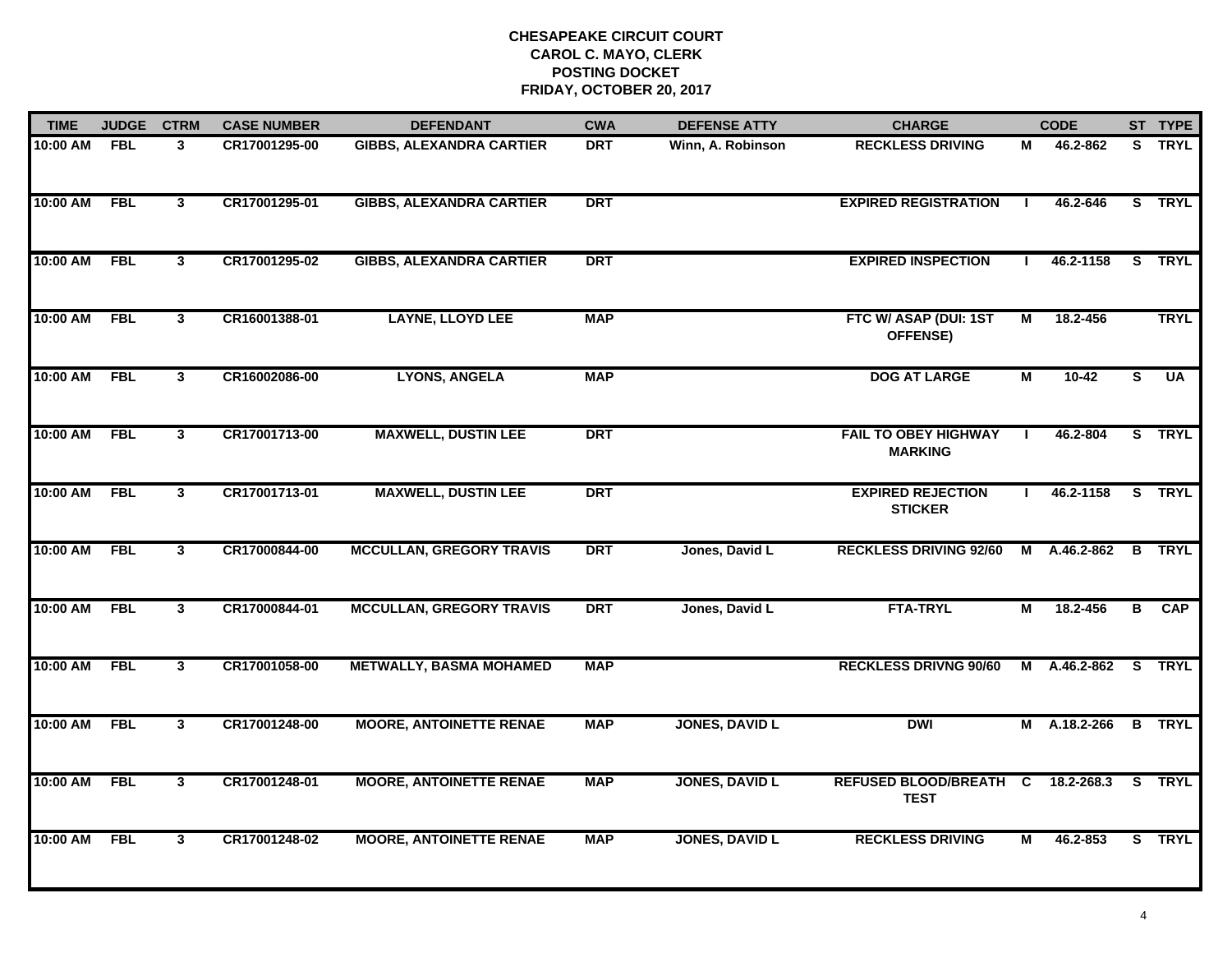| <b>TIME</b> | <b>JUDGE</b> | <b>CTRM</b>             | <b>CASE NUMBER</b> | <b>DEFENDANT</b>                | <b>CWA</b> | <b>DEFENSE ATTY</b>   | <b>CHARGE</b>                                 |              | <b>CODE</b>         |    | ST TYPE       |
|-------------|--------------|-------------------------|--------------------|---------------------------------|------------|-----------------------|-----------------------------------------------|--------------|---------------------|----|---------------|
| 10:00 AM    | <b>FBL</b>   | 3                       | CR17001295-00      | <b>GIBBS, ALEXANDRA CARTIER</b> | <b>DRT</b> | Winn, A. Robinson     | <b>RECKLESS DRIVING</b>                       | Μ            | 46.2-862            |    | S TRYL        |
| 10:00 AM    | <b>FBL</b>   | $\mathbf{3}$            | CR17001295-01      | <b>GIBBS, ALEXANDRA CARTIER</b> | <b>DRT</b> |                       | <b>EXPIRED REGISTRATION</b>                   |              | 46.2-646            |    | S TRYL        |
| 10:00 AM    | <b>FBL</b>   | $\mathbf{3}$            | CR17001295-02      | <b>GIBBS, ALEXANDRA CARTIER</b> | <b>DRT</b> |                       | <b>EXPIRED INSPECTION</b>                     | л.           | 46.2-1158           |    | S TRYL        |
| 10:00 AM    | <b>FBL</b>   | $\mathbf{3}$            | CR16001388-01      | <b>LAYNE, LLOYD LEE</b>         | <b>MAP</b> |                       | FTC W/ ASAP (DUI: 1ST<br>OFFENSE)             | М            | 18.2-456            |    | <b>TRYL</b>   |
| 10:00 AM    | <b>FBL</b>   | 3                       | CR16002086-00      | <b>LYONS, ANGELA</b>            | <b>MAP</b> |                       | <b>DOG AT LARGE</b>                           | М            | $10 - 42$           | S  | <b>UA</b>     |
| 10:00 AM    | <b>FBL</b>   | $\overline{\mathbf{3}}$ | CR17001713-00      | <b>MAXWELL, DUSTIN LEE</b>      | <b>DRT</b> |                       | <b>FAIL TO OBEY HIGHWAY</b><br><b>MARKING</b> | $\mathbf{L}$ | 46.2-804            |    | S TRYL        |
| 10:00 AM    | <b>FBL</b>   | $\overline{\mathbf{3}}$ | CR17001713-01      | <b>MAXWELL, DUSTIN LEE</b>      | <b>DRT</b> |                       | <b>EXPIRED REJECTION</b><br><b>STICKER</b>    | $\mathbf{L}$ | 46.2-1158           |    | S TRYL        |
| 10:00 AM    | <b>FBL</b>   | $\overline{3}$          | CR17000844-00      | <b>MCCULLAN, GREGORY TRAVIS</b> | <b>DRT</b> | Jones, David L        | <b>RECKLESS DRIVING 92/60</b>                 |              | M A.46.2-862 B TRYL |    |               |
| 10:00 AM    | <b>FBL</b>   | $\mathbf{3}$            | CR17000844-01      | <b>MCCULLAN, GREGORY TRAVIS</b> | <b>DRT</b> | Jones, David L        | <b>FTA-TRYL</b>                               | М            | 18.2-456            | B  | <b>CAP</b>    |
| 10:00 AM    | <b>FBL</b>   | $\mathbf{3}$            | CR17001058-00      | <b>METWALLY, BASMA MOHAMED</b>  | <b>MAP</b> |                       | <b>RECKLESS DRIVNG 90/60</b>                  |              | M A.46.2-862        | S. | <b>TRYL</b>   |
| 10:00 AM    | <b>FBL</b>   | $\overline{3}$          | CR17001248-00      | <b>MOORE, ANTOINETTE RENAE</b>  | <b>MAP</b> | <b>JONES, DAVID L</b> | <b>DWI</b>                                    | M            | A.18.2-266          |    | <b>B</b> TRYL |
| 10:00 AM    | <b>FBL</b>   | $\overline{3}$          | CR17001248-01      | <b>MOORE, ANTOINETTE RENAE</b>  | <b>MAP</b> | <b>JONES, DAVID L</b> | <b>REFUSED BLOOD/BREATH C</b><br><b>TEST</b>  |              | 18.2-268.3          |    | S TRYL        |
| 10:00 AM    | <b>FBL</b>   | $\mathbf{3}$            | CR17001248-02      | <b>MOORE, ANTOINETTE RENAE</b>  | <b>MAP</b> | <b>JONES, DAVID L</b> | <b>RECKLESS DRIVING</b>                       | М            | 46.2-853            |    | S TRYL        |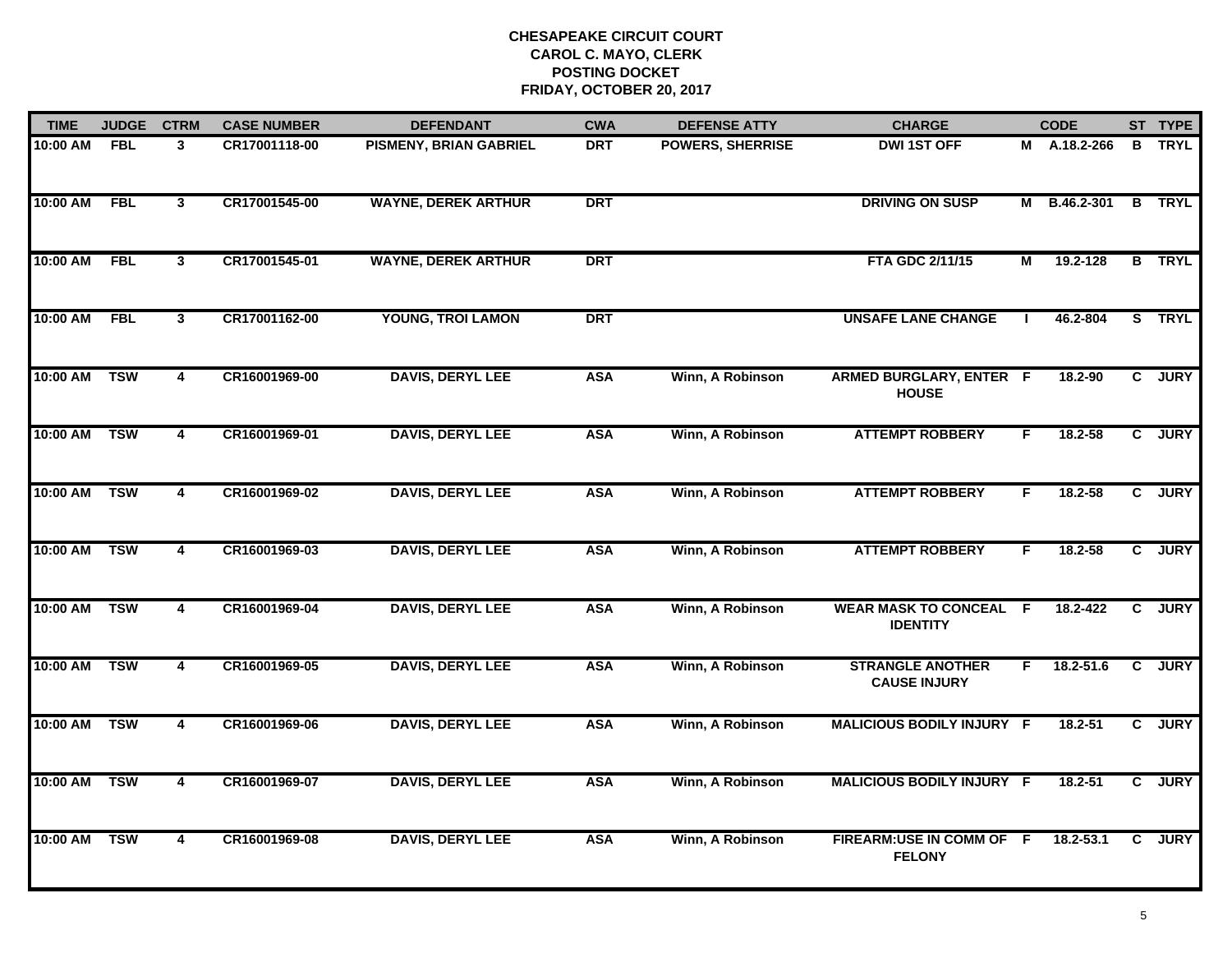| <b>TIME</b> | <b>JUDGE</b> | <b>CTRM</b>    | <b>CASE NUMBER</b> | <b>DEFENDANT</b>              | <b>CWA</b> | <b>DEFENSE ATTY</b>     | <b>CHARGE</b>                                    |    | <b>CODE</b>   |                | ST TYPE       |
|-------------|--------------|----------------|--------------------|-------------------------------|------------|-------------------------|--------------------------------------------------|----|---------------|----------------|---------------|
| 10:00 AM    | <b>FBL</b>   | $\mathbf{3}$   | CR17001118-00      | <b>PISMENY, BRIAN GABRIEL</b> | <b>DRT</b> | <b>POWERS, SHERRISE</b> | <b>DWI 1ST OFF</b>                               |    | M A.18.2-266  |                | <b>B</b> TRYL |
| 10:00 AM    | <b>FBL</b>   | $3^{\circ}$    | CR17001545-00      | <b>WAYNE, DEREK ARTHUR</b>    | <b>DRT</b> |                         | <b>DRIVING ON SUSP</b>                           |    | M B.46.2-301  |                | <b>B</b> TRYL |
| 10:00 AM    | <b>FBL</b>   | $\overline{3}$ | CR17001545-01      | <b>WAYNE, DEREK ARTHUR</b>    | <b>DRT</b> |                         | FTA GDC 2/11/15                                  | М  | 19.2-128      |                | <b>B</b> TRYL |
| 10:00 AM    | <b>FBL</b>   | $3\phantom{a}$ | CR17001162-00      | <b>YOUNG, TROI LAMON</b>      | <b>DRT</b> |                         | <b>UNSAFE LANE CHANGE</b>                        |    | 46.2-804      |                | S TRYL        |
| 10:00 AM    | <b>TSW</b>   | 4              | CR16001969-00      | <b>DAVIS, DERYL LEE</b>       | <b>ASA</b> | Winn, A Robinson        | ARMED BURGLARY, ENTER F<br><b>HOUSE</b>          |    | 18.2-90       |                | C JURY        |
| 10:00 AM    | <b>TSW</b>   | 4              | CR16001969-01      | <b>DAVIS, DERYL LEE</b>       | <b>ASA</b> | Winn, A Robinson        | <b>ATTEMPT ROBBERY</b>                           | F. | 18.2-58       |                | C JURY        |
| 10:00 AM    | <b>TSW</b>   | $\overline{4}$ | CR16001969-02      | <b>DAVIS, DERYL LEE</b>       | <b>ASA</b> | Winn, A Robinson        | <b>ATTEMPT ROBBERY</b>                           | F. | $18.2 - 58$   | $\overline{c}$ | <b>JURY</b>   |
| 10:00 AM    | <b>TSW</b>   | $\overline{4}$ | CR16001969-03      | <b>DAVIS, DERYL LEE</b>       | <b>ASA</b> | Winn, A Robinson        | <b>ATTEMPT ROBBERY</b>                           | F  | 18.2-58       | $\overline{c}$ | <b>JURY</b>   |
| 10:00 AM    | <b>TSW</b>   | 4              | CR16001969-04      | <b>DAVIS, DERYL LEE</b>       | <b>ASA</b> | Winn, A Robinson        | <b>WEAR MASK TO CONCEAL F</b><br><b>IDENTITY</b> |    | 18.2-422      | C.             | <b>JURY</b>   |
| 10:00 AM    | <b>TSW</b>   | 4              | CR16001969-05      | <b>DAVIS, DERYL LEE</b>       | <b>ASA</b> | Winn, A Robinson        | <b>STRANGLE ANOTHER</b><br><b>CAUSE INJURY</b>   | F. | $18.2 - 51.6$ | $\mathbf{C}$   | <b>JURY</b>   |
| 10:00 AM    | <b>TSW</b>   | 4              | CR16001969-06      | <b>DAVIS, DERYL LEE</b>       | <b>ASA</b> | Winn, A Robinson        | <b>MALICIOUS BODILY INJURY F</b>                 |    | 18.2-51       |                | C JURY        |
| 10:00 AM    | <b>TSW</b>   | $\overline{4}$ | CR16001969-07      | <b>DAVIS, DERYL LEE</b>       | <b>ASA</b> | Winn, A Robinson        | <b>MALICIOUS BODILY INJURY F</b>                 |    | $18.2 - 51$   |                | C JURY        |
| 10:00 AM    | <b>TSW</b>   | 4              | CR16001969-08      | <b>DAVIS, DERYL LEE</b>       | <b>ASA</b> | Winn, A Robinson        | FIREARM:USE IN COMM OF F<br><b>FELONY</b>        |    | 18.2-53.1     | $\mathbf{c}$   | <b>JURY</b>   |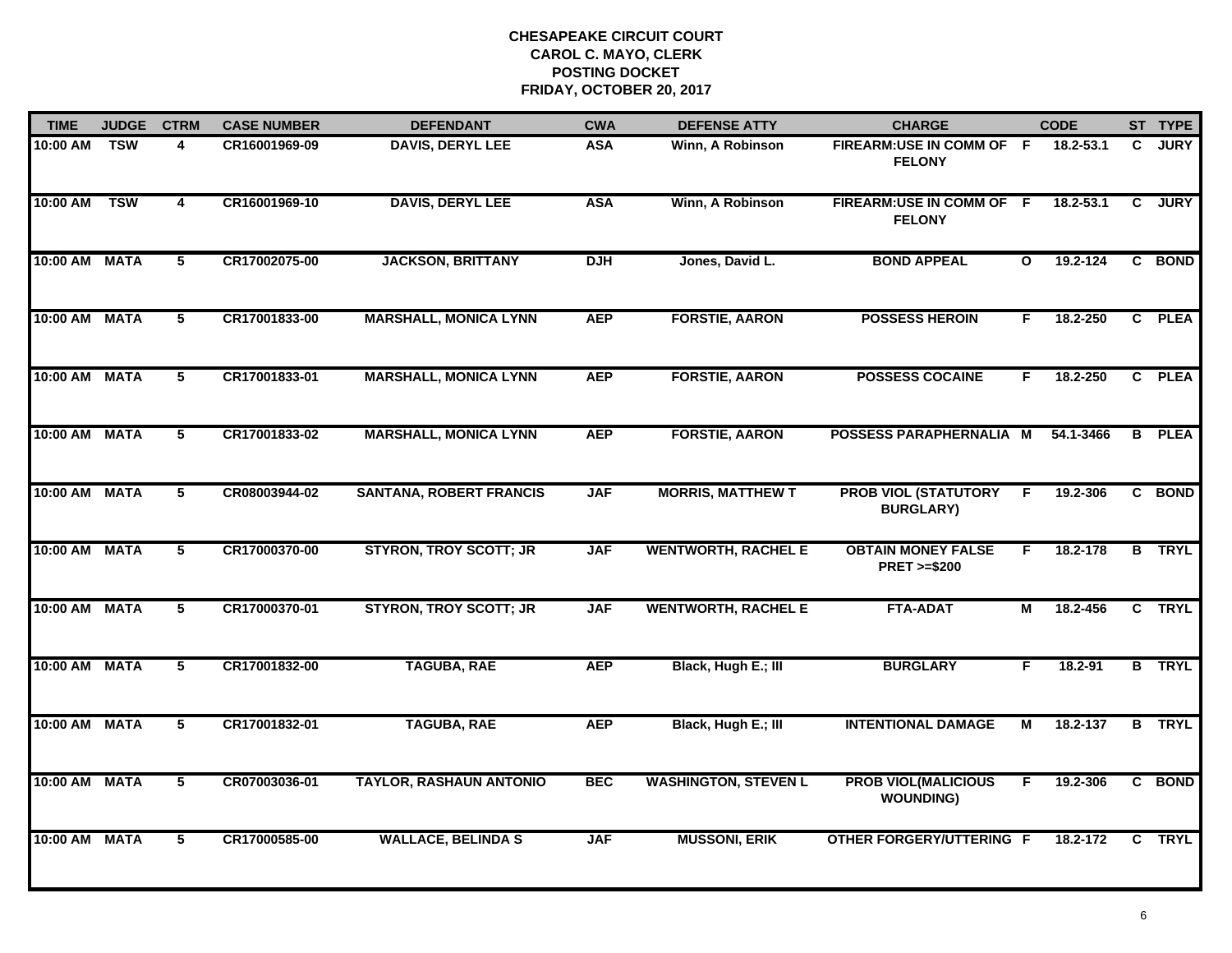| <b>TIME</b>   | <b>JUDGE</b> | <b>CTRM</b>             | <b>CASE NUMBER</b> | <b>DEFENDANT</b>               | <b>CWA</b> | <b>DEFENSE ATTY</b>         | <b>CHARGE</b>                                       |              | <b>CODE</b>   |                | ST TYPE       |
|---------------|--------------|-------------------------|--------------------|--------------------------------|------------|-----------------------------|-----------------------------------------------------|--------------|---------------|----------------|---------------|
| 10:00 AM      | <b>TSW</b>   | 4                       | CR16001969-09      | <b>DAVIS, DERYL LEE</b>        | <b>ASA</b> | Winn, A Robinson            | FIREARM:USE IN COMM OF F<br><b>FELONY</b>           |              | 18.2-53.1     | C.             | <b>JURY</b>   |
| 10:00 AM      | <b>TSW</b>   | $\overline{\mathbf{4}}$ | CR16001969-10      | <b>DAVIS, DERYL LEE</b>        | <b>ASA</b> | Winn, A Robinson            | FIREARM:USE IN COMM OF F<br><b>FELONY</b>           |              | $18.2 - 53.1$ | C              | <b>JURY</b>   |
| 10:00 AM      | <b>MATA</b>  | $\overline{5}$          | CR17002075-00      | <b>JACKSON, BRITTANY</b>       | <b>DJH</b> | Jones, David L.             | <b>BOND APPEAL</b>                                  | $\mathbf{o}$ | 19.2-124      |                | C BOND        |
| 10:00 AM      | <b>MATA</b>  | 5                       | CR17001833-00      | <b>MARSHALL, MONICA LYNN</b>   | <b>AEP</b> | <b>FORSTIE, AARON</b>       | <b>POSSESS HEROIN</b>                               | F.           | 18.2-250      |                | C PLEA        |
| 10:00 AM      | <b>MATA</b>  | 5                       | CR17001833-01      | <b>MARSHALL, MONICA LYNN</b>   | <b>AEP</b> | <b>FORSTIE, AARON</b>       | <b>POSSESS COCAINE</b>                              | F.           | 18.2-250      | $\mathbf{c}$   | <b>PLEA</b>   |
| 10:00 AM MATA |              | 5                       | CR17001833-02      | <b>MARSHALL, MONICA LYNN</b>   | <b>AEP</b> | <b>FORSTIE, AARON</b>       | POSSESS PARAPHERNALIA M                             |              | 54.1-3466     | B              | <b>PLEA</b>   |
| 10:00 AM      | <b>MATA</b>  | $\overline{5}$          | CR08003944-02      | <b>SANTANA, ROBERT FRANCIS</b> | <b>JAF</b> | <b>MORRIS, MATTHEW T</b>    | <b>PROB VIOL (STATUTORY</b><br><b>BURGLARY)</b>     | E            | 19.2-306      | C              | <b>BOND</b>   |
| 10:00 AM      | <b>MATA</b>  | 5                       | CR17000370-00      | <b>STYRON, TROY SCOTT; JR</b>  | <b>JAF</b> | <b>WENTWORTH, RACHEL E</b>  | <b>OBTAIN MONEY FALSE</b><br><b>PRET &gt;=\$200</b> | F            | 18.2-178      |                | <b>B</b> TRYL |
| 10:00 AM      | <b>MATA</b>  | 5                       | CR17000370-01      | <b>STYRON, TROY SCOTT; JR</b>  | <b>JAF</b> | <b>WENTWORTH, RACHEL E</b>  | <b>FTA-ADAT</b>                                     | М            | 18.2-456      |                | C TRYL        |
| 10:00 AM      | <b>MATA</b>  | 5                       | CR17001832-00      | <b>TAGUBA, RAE</b>             | <b>AEP</b> | Black, Hugh E.; III         | <b>BURGLARY</b>                                     | F            | $18.2 - 91$   |                | <b>B</b> TRYL |
| 10:00 AM MATA |              | 5                       | CR17001832-01      | <b>TAGUBA, RAE</b>             | <b>AEP</b> | Black, Hugh E.; III         | <b>INTENTIONAL DAMAGE</b>                           | М            | 18.2-137      |                | <b>B</b> TRYL |
| 10:00 AM      | <b>MATA</b>  | $\overline{5}$          | CR07003036-01      | <b>TAYLOR, RASHAUN ANTONIO</b> | <b>BEC</b> | <b>WASHINGTON, STEVEN L</b> | <b>PROB VIOL(MALICIOUS</b><br><b>WOUNDING)</b>      | F.           | 19.2-306      | $\overline{c}$ | <b>BOND</b>   |
| 10:00 AM      | <b>MATA</b>  | 5                       | CR17000585-00      | <b>WALLACE, BELINDA S</b>      | <b>JAF</b> | <b>MUSSONI, ERIK</b>        | OTHER FORGERY/UTTERING F                            |              | 18.2-172      | C.             | <b>TRYL</b>   |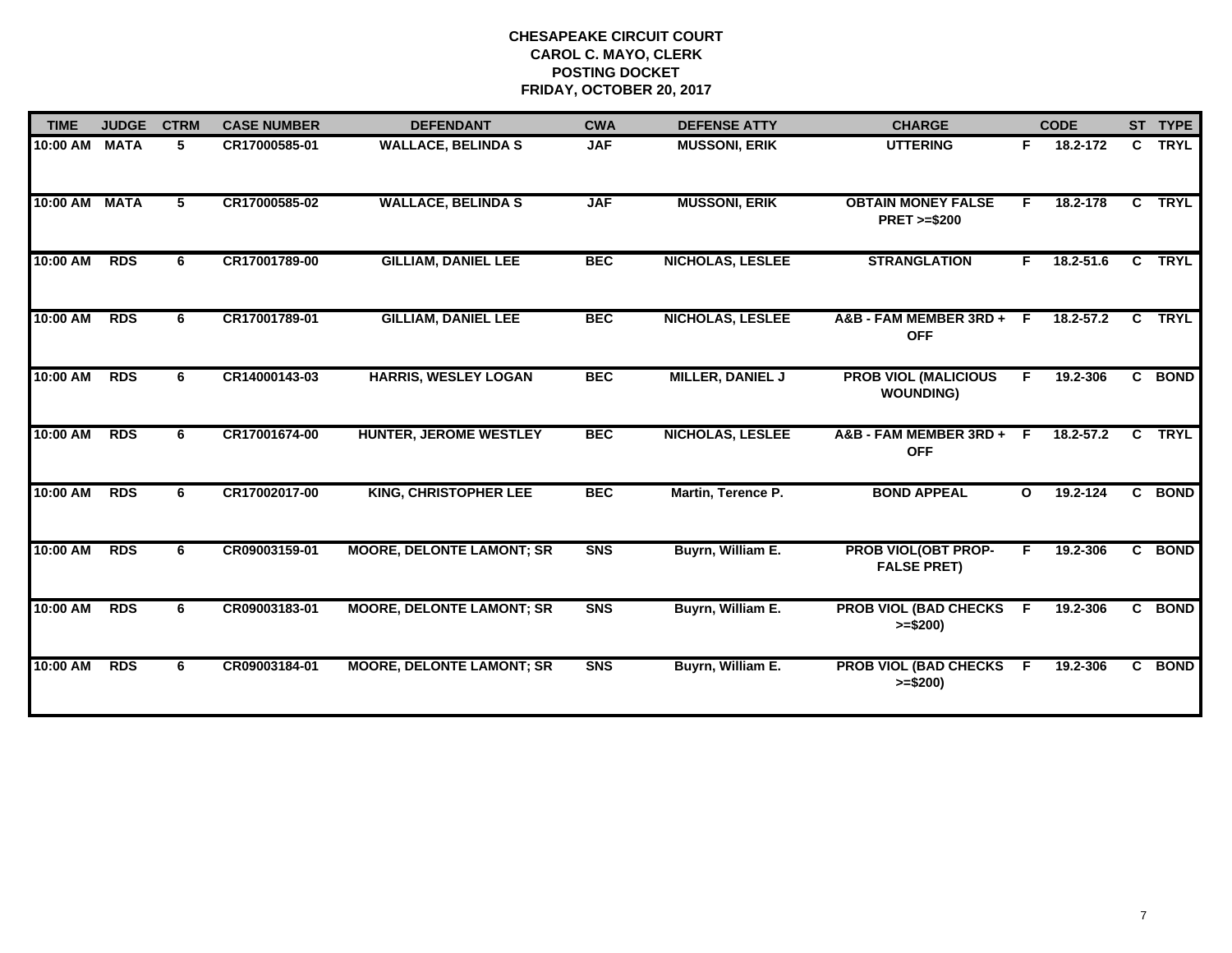| <b>TIME</b> | <b>JUDGE</b> | <b>CTRM</b> | <b>CASE NUMBER</b> | <b>DEFENDANT</b>                 | <b>CWA</b> | <b>DEFENSE ATTY</b>     | <b>CHARGE</b>                                       |              | <b>CODE</b>   |                | ST TYPE     |
|-------------|--------------|-------------|--------------------|----------------------------------|------------|-------------------------|-----------------------------------------------------|--------------|---------------|----------------|-------------|
| $10:00$ AM  | <b>MATA</b>  | 5           | CR17000585-01      | <b>WALLACE, BELINDA S</b>        | <b>JAF</b> | <b>MUSSONI, ERIK</b>    | <b>UTTERING</b>                                     | F.           | 18.2-172      | $\mathbf{C}$   | <b>TRYL</b> |
| 10:00 AM    | <b>MATA</b>  | 5.          | CR17000585-02      | <b>WALLACE, BELINDA S</b>        | <b>JAF</b> | <b>MUSSONI, ERIK</b>    | <b>OBTAIN MONEY FALSE</b><br><b>PRET &gt;=\$200</b> | F.           | 18.2-178      |                | C TRYL      |
| 10:00 AM    | <b>RDS</b>   | 6           | CR17001789-00      | <b>GILLIAM, DANIEL LEE</b>       | <b>BEC</b> | <b>NICHOLAS, LESLEE</b> | <b>STRANGLATION</b>                                 | F.           | $18.2 - 51.6$ | $\overline{c}$ | <b>TRYL</b> |
| 10:00 AM    | <b>RDS</b>   | 6           | CR17001789-01      | <b>GILLIAM, DANIEL LEE</b>       | <b>BEC</b> | <b>NICHOLAS, LESLEE</b> | A&B - FAM MEMBER 3RD +<br><b>OFF</b>                | -F           | $18.2 - 57.2$ | C.             | <b>TRYL</b> |
| 10:00 AM    | <b>RDS</b>   | 6           | CR14000143-03      | <b>HARRIS, WESLEY LOGAN</b>      | <b>BEC</b> | <b>MILLER, DANIEL J</b> | <b>PROB VIOL (MALICIOUS</b><br><b>WOUNDING)</b>     | F.           | 19.2-306      |                | C BOND      |
| 10:00 AM    | <b>RDS</b>   | 6           | CR17001674-00      | <b>HUNTER, JEROME WESTLEY</b>    | <b>BEC</b> | <b>NICHOLAS, LESLEE</b> | A&B - FAM MEMBER 3RD +<br><b>OFF</b>                | -F           | 18.2-57.2     | C.             | <b>TRYL</b> |
| 10:00 AM    | <b>RDS</b>   | 6           | CR17002017-00      | <b>KING, CHRISTOPHER LEE</b>     | <b>BEC</b> | Martin, Terence P.      | <b>BOND APPEAL</b>                                  | $\mathbf{o}$ | 19.2-124      |                | C BOND      |
| 10:00 AM    | <b>RDS</b>   | 6           | CR09003159-01      | <b>MOORE, DELONTE LAMONT; SR</b> | <b>SNS</b> | Buyrn, William E.       | <b>PROB VIOL(OBT PROP-</b><br><b>FALSE PRET)</b>    | F.           | 19.2-306      |                | C BOND      |
| 10:00 AM    | <b>RDS</b>   | 6           | CR09003183-01      | <b>MOORE, DELONTE LAMONT; SR</b> | <b>SNS</b> | Buyrn, William E.       | <b>PROB VIOL (BAD CHECKS)</b><br>$>= $200$          | -F           | 19.2-306      |                | C BOND      |
| 10:00 AM    | <b>RDS</b>   | 6           | CR09003184-01      | <b>MOORE, DELONTE LAMONT; SR</b> | <b>SNS</b> | Buyrn, William E.       | <b>PROB VIOL (BAD CHECKS)</b><br>$>= $200$          | F            | 19.2-306      | $\mathbf{c}$   | <b>BOND</b> |